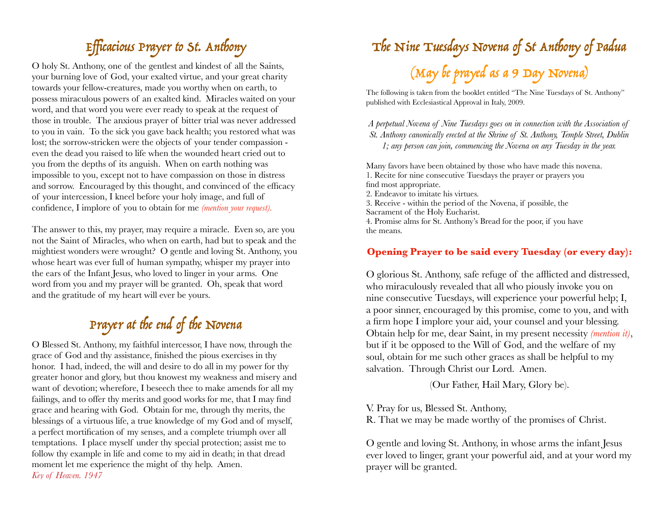## Efficacious Prayer to St. Anthony

O holy St. Anthony, one of the gentlest and kindest of all the Saints, your burning love of God, your exalted virtue, and your great charity towards your fellow-creatures, made you worthy when on earth, to possess miraculous powers of an exalted kind. Miracles waited on your word, and that word you were ever ready to speak at the request of those in trouble. The anxious prayer of bitter trial was never addressed to you in vain. To the sick you gave back health; you restored what was lost; the sorrow-stricken were the objects of your tender compassion even the dead you raised to life when the wounded heart cried out to you from the depths of its anguish. When on earth nothing was impossible to you, except not to have compassion on those in distress and sorrow. Encouraged by this thought, and convinced of the efficacy of your intercession, I kneel before your holy image, and full of confidence, I implore of you to obtain for me *(mention your request).* 

The answer to this, my prayer, may require a miracle. Even so, are you not the Saint of Miracles, who when on earth, had but to speak and the mightiest wonders were wrought? O gentle and loving St. Anthony, you whose heart was ever full of human sympathy, whisper my prayer into the ears of the Infant Jesus, who loved to linger in your arms. One word from you and my prayer will be granted. Oh, speak that word and the gratitude of my heart will ever be yours.

# Prayer at the end of the Novena

O Blessed St. Anthony, my faithful intercessor, I have now, through the grace of God and thy assistance, finished the pious exercises in thy honor. I had, indeed, the will and desire to do all in my power for thy greater honor and glory, but thou knowest my weakness and misery and want of devotion; wherefore, I beseech thee to make amends for all my failings, and to offer thy merits and good works for me, that I may find grace and hearing with God. Obtain for me, through thy merits, the blessings of a virtuous life, a true knowledge of my God and of myself, a perfect mortification of my senses, and a complete triumph over all temptations. I place myself under thy special protection; assist me to follow thy example in life and come to my aid in death; in that dread moment let me experience the might of thy help. Amen. *Key of Heaven. 1947*

### The Nine Tuesdays Novena of St Anthony of Padua

# (May be prayed as a 9 Day Novena)

The following is taken from the booklet entitled "The Nine Tuesdays of St. Anthony" published with Ecclesiastical Approval in Italy, 2009.

*A perpetual Novena of Nine Tuesdays goes on in connection with the Association of St. Anthony canonically erected at the Shrine of St. Anthony, Temple Street, Dublin 1; any person can join, commencing the Novena on any Tuesday in the year.*

Many favors have been obtained by those who have made this novena.

1. Recite for nine consecutive Tuesdays the prayer or prayers you find most appropriate.

2. Endeavor to imitate his virtues.

3. Receive - within the period of the Novena, if possible, the Sacrament of the Holy Eucharist.

4. Promise alms for St. Anthony's Bread for the poor, if you have the means.

#### **Opening Prayer to be said every Tuesday (or every day):**

O glorious St. Anthony, safe refuge of the afflicted and distressed, who miraculously revealed that all who piously invoke you on nine consecutive Tuesdays, will experience your powerful help; I, a poor sinner, encouraged by this promise, come to you, and with a firm hope I implore your aid, your counsel and your blessing. Obtain help for me, dear Saint, in my present necessity *(mention it)*, but if it be opposed to the Will of God, and the welfare of my soul, obtain for me such other graces as shall be helpful to my salvation. Through Christ our Lord. Amen.

(Our Father, Hail Mary, Glory be).

V. Pray for us, Blessed St. Anthony, R. That we may be made worthy of the promises of Christ.

O gentle and loving St. Anthony, in whose arms the infant Jesus ever loved to linger, grant your powerful aid, and at your word my prayer will be granted.